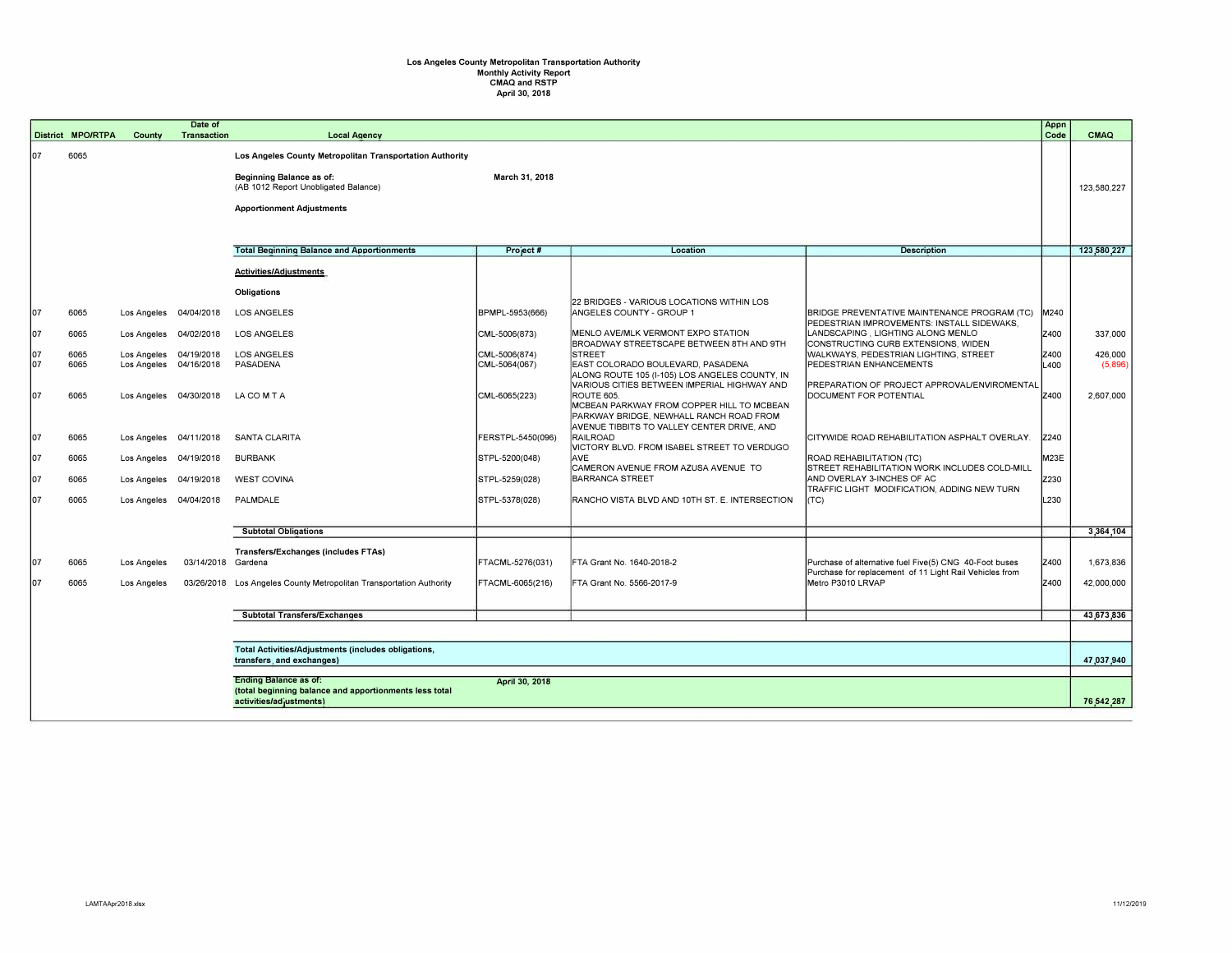## **Los Angeles County Metropolitan Transportation Authority Monthly Activity Report**  CMAQ and RSTP April 30, 2018

|          | <b>District MPO/RTPA</b> |                                                  | Date of                |                                                          |                                |                                                               |                                                                                            | Appn<br>Code | CMAQ               |
|----------|--------------------------|--------------------------------------------------|------------------------|----------------------------------------------------------|--------------------------------|---------------------------------------------------------------|--------------------------------------------------------------------------------------------|--------------|--------------------|
|          |                          | County                                           | <b>Transaction</b>     | <b>Local Agency</b>                                      |                                |                                                               |                                                                                            |              |                    |
| 07       | 6065                     |                                                  |                        | Los Angeles County Metropolitan Transportation Authority |                                |                                                               |                                                                                            |              |                    |
|          |                          |                                                  |                        | Beginning Balance as of:                                 | March 31, 2018                 |                                                               |                                                                                            |              |                    |
|          |                          |                                                  |                        | (AB 1012 Report Unobligated Balance)                     |                                |                                                               |                                                                                            |              | 123,580,227        |
|          |                          |                                                  |                        |                                                          |                                |                                                               |                                                                                            |              |                    |
|          |                          |                                                  |                        | <b>Apportionment Adjustments</b>                         |                                |                                                               |                                                                                            |              |                    |
|          |                          |                                                  |                        |                                                          |                                |                                                               |                                                                                            |              |                    |
|          |                          |                                                  |                        |                                                          |                                |                                                               |                                                                                            |              |                    |
|          |                          |                                                  |                        | <b>Total Beginning Balance and Apportionments</b>        | Project #                      | Location                                                      | <b>Description</b>                                                                         |              | 123,580,227        |
|          |                          |                                                  |                        | <b>Activities/Adjustments</b>                            |                                |                                                               |                                                                                            |              |                    |
|          |                          |                                                  |                        | Obligations                                              |                                | 22 BRIDGES - VARIOUS LOCATIONS WITHIN LOS                     |                                                                                            |              |                    |
| 07       | 6065                     | Los Angeles                                      | 04/04/2018             | <b>LOS ANGELES</b>                                       | BPMPL-5953(666)                | ANGELES COUNTY - GROUP 1                                      | BRIDGE PREVENTATIVE MAINTENANCE PROGRAM (TC)<br>PEDESTRIAN IMPROVEMENTS: INSTALL SIDEWAKS, | M240         |                    |
| 07       | 6065                     | Los Angeles                                      | 04/02/2018             | <b>LOS ANGELES</b>                                       | CML-5006(873)                  | MENLO AVE/MLK VERMONT EXPO STATION                            | LANDSCAPING, LIGHTING ALONG MENLO                                                          | Z400         | 337,000            |
|          |                          |                                                  |                        |                                                          |                                | BROADWAY STREETSCAPE BETWEEN 8TH AND 9TH                      | CONSTRUCTING CURB EXTENSIONS, WIDEN                                                        |              |                    |
| 07<br>07 | 6065<br>6065             | Los Angeles 04/19/2018<br>Los Angeles 04/16/2018 |                        | <b>LOS ANGELES</b><br>PASADENA                           | CML-5006(874)<br>CML-5064(067) | <b>STREET</b><br>EAST COLORADO BOULEVARD, PASADENA            | WALKWAYS, PEDESTRIAN LIGHTING, STREET<br>PEDESTRIAN ENHANCEMENTS                           | Z400<br>L400 | 426,000<br>(5,896) |
|          |                          |                                                  |                        |                                                          |                                | ALONG ROUTE 105 (I-105) LOS ANGELES COUNTY, IN                |                                                                                            |              |                    |
| 07       | 6065                     |                                                  |                        | LA COMTA                                                 |                                | VARIOUS CITIES BETWEEN IMPERIAL HIGHWAY AND<br>ROUTE 605      | PREPARATION OF PROJECT APPROVAL/ENVIROMENTAL<br>DOCUMENT FOR POTENTIAL                     | Z400         | 2,607,000          |
|          |                          |                                                  | Los Angeles 04/30/2018 |                                                          | CML-6065(223)                  | MCBEAN PARKWAY FROM COPPER HILL TO MCBEAN                     |                                                                                            |              |                    |
|          |                          |                                                  |                        |                                                          |                                | PARKWAY BRIDGE, NEWHALL RANCH ROAD FROM                       |                                                                                            |              |                    |
| 07       | 6065                     |                                                  | Los Angeles 04/11/2018 | SANTA CLARITA                                            | FERSTPL-5450(096)              | AVENUE TIBBITS TO VALLEY CENTER DRIVE, AND<br>RAILROAD        | CITYWIDE ROAD REHABILITATION ASPHALT OVERLAY.                                              | Z240         |                    |
|          |                          |                                                  |                        |                                                          |                                | VICTORY BLVD. FROM ISABEL STREET TO VERDUGO                   |                                                                                            |              |                    |
| 07       | 6065                     | Los Angeles 04/19/2018                           |                        | <b>BURBANK</b>                                           | STPL-5200(048)                 | lave.                                                         | ROAD REHABILITATION (TC)                                                                   | M23E         |                    |
| 07       | 6065                     | Los Angeles 04/19/2018                           |                        | <b>WEST COVINA</b>                                       | STPL-5259(028)                 | CAMERON AVENUE FROM AZUSA AVENUE TO<br><b>BARRANCA STREET</b> | STREET REHABILITATION WORK INCLUDES COLD-MILL<br>AND OVERLAY 3-INCHES OF AC                | Z230         |                    |
|          |                          |                                                  |                        |                                                          |                                |                                                               | TRAFFIC LIGHT MODIFICATION, ADDING NEW TURN                                                |              |                    |
| 07       | 6065                     | Los Angeles 04/04/2018                           |                        | PALMDALE                                                 | STPL-5378(028)                 | RANCHO VISTA BLVD AND 10TH ST. E. INTERSECTION                | (TC)                                                                                       | L230         |                    |
|          |                          |                                                  |                        |                                                          |                                |                                                               |                                                                                            |              |                    |
|          |                          |                                                  |                        | <b>Subtotal Obligations</b>                              |                                |                                                               |                                                                                            |              | 3,364,104          |
|          |                          |                                                  |                        | Transfers/Exchanges (includes FTAs)                      |                                |                                                               |                                                                                            |              |                    |
| 07       | 6065                     | Los Angeles                                      | 03/14/2018 Gardena     |                                                          | FTACML-5276(031)               | FTA Grant No. 1640-2018-2                                     | Purchase of alternative fuel Five(5) CNG 40-Foot buses                                     | Z400         | 1,673,836          |
|          |                          |                                                  |                        |                                                          |                                |                                                               | Purchase for replacement of 11 Light Rail Vehicles from                                    | Z400         |                    |
| 07       | 6065                     | Los Angeles                                      | 03/26/2018             | Los Angeles County Metropolitan Transportation Authority | FTACML-6065(216)               | FTA Grant No. 5566-2017-9                                     | Metro P3010 LRVAP                                                                          |              | 42,000,000         |
|          |                          |                                                  |                        |                                                          |                                |                                                               |                                                                                            |              |                    |
|          |                          |                                                  |                        | <b>Subtotal Transfers/Exchanges</b>                      |                                |                                                               |                                                                                            |              | 43,673,836         |
|          |                          |                                                  |                        |                                                          |                                |                                                               |                                                                                            |              |                    |
|          |                          |                                                  |                        | Total Activities/Adjustments (includes obligations,      |                                |                                                               |                                                                                            |              |                    |
|          |                          |                                                  |                        | transfers, and exchanges)                                |                                |                                                               |                                                                                            |              | 47,037,940         |
|          |                          |                                                  |                        | <b>Ending Balance as of:</b>                             | April 30, 2018                 |                                                               |                                                                                            |              |                    |
|          |                          |                                                  |                        | (total beginning balance and apportionments less total   |                                |                                                               |                                                                                            |              |                    |
|          |                          |                                                  |                        | activities/adiustments)                                  |                                |                                                               |                                                                                            |              | 76,542,287         |